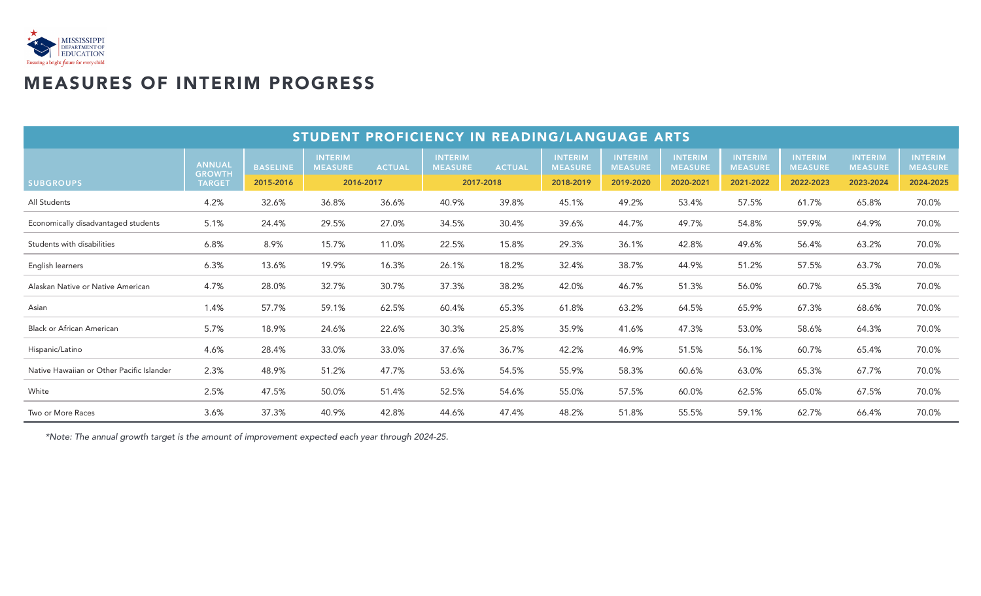

## MEASURES OF INTERIM PROGRESS

| STUDENT PROFICIENCY IN READING/LANGUAGE ARTS |                         |                 |                                  |               |                                  |               |                                  |                                  |                                  |                                  |                                  |                                  |                                  |
|----------------------------------------------|-------------------------|-----------------|----------------------------------|---------------|----------------------------------|---------------|----------------------------------|----------------------------------|----------------------------------|----------------------------------|----------------------------------|----------------------------------|----------------------------------|
|                                              | ANNUAL<br><b>GROWTH</b> | <b>BASELINE</b> | <b>INTERIM</b><br><b>MEASURE</b> | <b>ACTUAL</b> | <b>INTERIM</b><br><b>MEASURE</b> | <b>ACTUAL</b> | <b>INTERIM</b><br><b>MEASURE</b> | <b>INTERIM</b><br><b>MEASURE</b> | <b>INTERIM</b><br><b>MEASURE</b> | <b>INTERIM</b><br><b>MEASURE</b> | <b>INTERIM</b><br><b>MEASURE</b> | <b>INTERIM</b><br><b>MEASURE</b> | <b>INTERIM</b><br><b>MEASURE</b> |
| <b>SUBGROUPS</b>                             | <b>TARGET</b>           | 2015-2016       | 2016-2017                        |               | 2017-2018                        |               | 2018-2019                        | 2019-2020                        | 2020-2021                        | 2021-2022                        | 2022-2023                        | 2023-2024                        | 2024-2025                        |
| All Students                                 | 4.2%                    | 32.6%           | 36.8%                            | 36.6%         | 40.9%                            | 39.8%         | 45.1%                            | 49.2%                            | 53.4%                            | 57.5%                            | 61.7%                            | 65.8%                            | 70.0%                            |
| Economically disadvantaged students          | 5.1%                    | 24.4%           | 29.5%                            | 27.0%         | 34.5%                            | 30.4%         | 39.6%                            | 44.7%                            | 49.7%                            | 54.8%                            | 59.9%                            | 64.9%                            | 70.0%                            |
| Students with disabilities                   | 6.8%                    | 8.9%            | 15.7%                            | 11.0%         | 22.5%                            | 15.8%         | 29.3%                            | 36.1%                            | 42.8%                            | 49.6%                            | 56.4%                            | 63.2%                            | 70.0%                            |
| English learners                             | 6.3%                    | 13.6%           | 19.9%                            | 16.3%         | 26.1%                            | 18.2%         | 32.4%                            | 38.7%                            | 44.9%                            | 51.2%                            | 57.5%                            | 63.7%                            | 70.0%                            |
| Alaskan Native or Native American            | 4.7%                    | 28.0%           | 32.7%                            | 30.7%         | 37.3%                            | 38.2%         | 42.0%                            | 46.7%                            | 51.3%                            | 56.0%                            | 60.7%                            | 65.3%                            | 70.0%                            |
| Asian                                        | 1.4%                    | 57.7%           | 59.1%                            | 62.5%         | 60.4%                            | 65.3%         | 61.8%                            | 63.2%                            | 64.5%                            | 65.9%                            | 67.3%                            | 68.6%                            | 70.0%                            |
| <b>Black or African American</b>             | 5.7%                    | 18.9%           | 24.6%                            | 22.6%         | 30.3%                            | 25.8%         | 35.9%                            | 41.6%                            | 47.3%                            | 53.0%                            | 58.6%                            | 64.3%                            | 70.0%                            |
| Hispanic/Latino                              | 4.6%                    | 28.4%           | 33.0%                            | 33.0%         | 37.6%                            | 36.7%         | 42.2%                            | 46.9%                            | 51.5%                            | 56.1%                            | 60.7%                            | 65.4%                            | 70.0%                            |
| Native Hawaiian or Other Pacific Islander    | 2.3%                    | 48.9%           | 51.2%                            | 47.7%         | 53.6%                            | 54.5%         | 55.9%                            | 58.3%                            | 60.6%                            | 63.0%                            | 65.3%                            | 67.7%                            | 70.0%                            |
| White                                        | 2.5%                    | 47.5%           | 50.0%                            | 51.4%         | 52.5%                            | 54.6%         | 55.0%                            | 57.5%                            | 60.0%                            | 62.5%                            | 65.0%                            | 67.5%                            | 70.0%                            |
| Two or More Races                            | 3.6%                    | 37.3%           | 40.9%                            | 42.8%         | 44.6%                            | 47.4%         | 48.2%                            | 51.8%                            | 55.5%                            | 59.1%                            | 62.7%                            | 66.4%                            | 70.0%                            |

*\*Note: The annual growth target is the amount of improvement expected each year through 2024-25.*